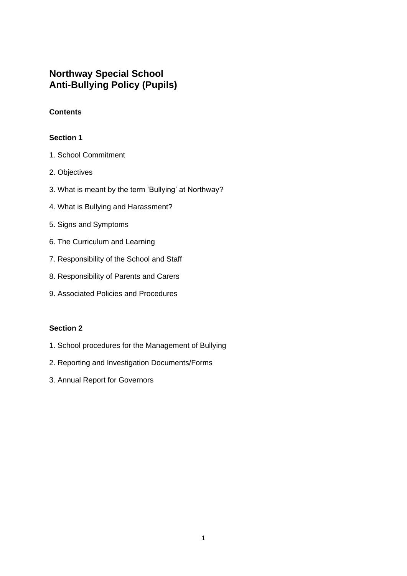# **Northway Special School Anti-Bullying Policy (Pupils)**

# **Contents**

## **Section 1**

- 1. School Commitment
- 2. Objectives
- 3. What is meant by the term 'Bullying' at Northway?
- 4. What is Bullying and Harassment?
- 5. Signs and Symptoms
- 6. The Curriculum and Learning
- 7. Responsibility of the School and Staff
- 8. Responsibility of Parents and Carers
- 9. Associated Policies and Procedures

## **Section 2**

- 1. School procedures for the Management of Bullying
- 2. Reporting and Investigation Documents/Forms
- 3. Annual Report for Governors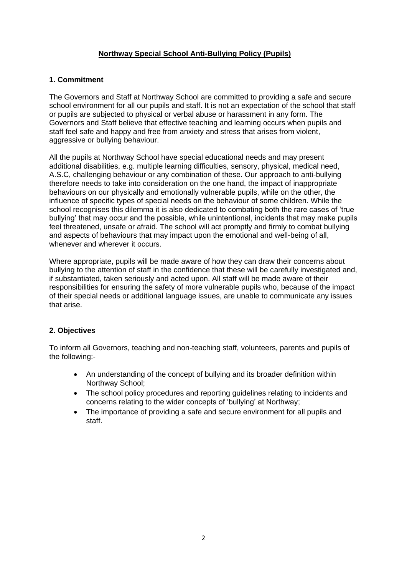# **Northway Special School Anti-Bullying Policy (Pupils)**

## **1. Commitment**

The Governors and Staff at Northway School are committed to providing a safe and secure school environment for all our pupils and staff. It is not an expectation of the school that staff or pupils are subjected to physical or verbal abuse or harassment in any form. The Governors and Staff believe that effective teaching and learning occurs when pupils and staff feel safe and happy and free from anxiety and stress that arises from violent, aggressive or bullying behaviour.

All the pupils at Northway School have special educational needs and may present additional disabilities, e.g. multiple learning difficulties, sensory, physical, medical need, A.S.C, challenging behaviour or any combination of these. Our approach to anti-bullying therefore needs to take into consideration on the one hand, the impact of inappropriate behaviours on our physically and emotionally vulnerable pupils, while on the other, the influence of specific types of special needs on the behaviour of some children. While the school recognises this dilemma it is also dedicated to combating both the rare cases of 'true bullying' that may occur and the possible, while unintentional, incidents that may make pupils feel threatened, unsafe or afraid. The school will act promptly and firmly to combat bullying and aspects of behaviours that may impact upon the emotional and well-being of all, whenever and wherever it occurs.

Where appropriate, pupils will be made aware of how they can draw their concerns about bullying to the attention of staff in the confidence that these will be carefully investigated and, if substantiated, taken seriously and acted upon. All staff will be made aware of their responsibilities for ensuring the safety of more vulnerable pupils who, because of the impact of their special needs or additional language issues, are unable to communicate any issues that arise.

# **2. Objectives**

To inform all Governors, teaching and non-teaching staff, volunteers, parents and pupils of the following:-

- An understanding of the concept of bullying and its broader definition within Northway School;
- The school policy procedures and reporting guidelines relating to incidents and concerns relating to the wider concepts of 'bullying' at Northway;
- The importance of providing a safe and secure environment for all pupils and staff.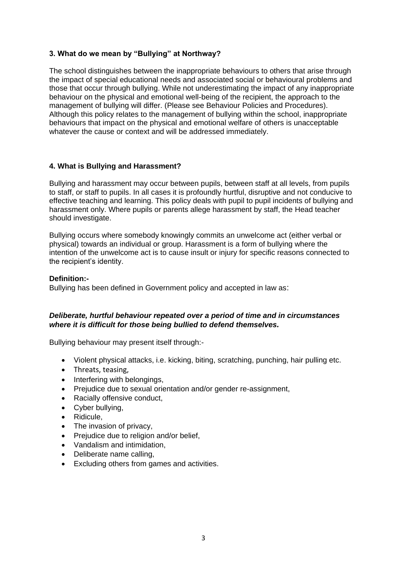## **3. What do we mean by "Bullying" at Northway?**

The school distinguishes between the inappropriate behaviours to others that arise through the impact of special educational needs and associated social or behavioural problems and those that occur through bullying. While not underestimating the impact of any inappropriate behaviour on the physical and emotional well-being of the recipient, the approach to the management of bullying will differ. (Please see Behaviour Policies and Procedures). Although this policy relates to the management of bullying within the school, inappropriate behaviours that impact on the physical and emotional welfare of others is unacceptable whatever the cause or context and will be addressed immediately.

## **4. What is Bullying and Harassment?**

Bullying and harassment may occur between pupils, between staff at all levels, from pupils to staff, or staff to pupils. In all cases it is profoundly hurtful, disruptive and not conducive to effective teaching and learning. This policy deals with pupil to pupil incidents of bullying and harassment only. Where pupils or parents allege harassment by staff, the Head teacher should investigate.

Bullying occurs where somebody knowingly commits an unwelcome act (either verbal or physical) towards an individual or group. Harassment is a form of bullying where the intention of the unwelcome act is to cause insult or injury for specific reasons connected to the recipient's identity.

### **Definition:-**

Bullying has been defined in Government policy and accepted in law as:

### *Deliberate, hurtful behaviour repeated over a period of time and in circumstances where it is difficult for those being bullied to defend themselves.*

Bullying behaviour may present itself through:-

- Violent physical attacks, i.e. kicking, biting, scratching, punching, hair pulling etc.
- Threats, teasing,
- Interfering with belongings,
- Prejudice due to sexual orientation and/or gender re-assignment,
- Racially offensive conduct.
- Cyber bullying,
- Ridicule,
- The invasion of privacy,
- Prejudice due to religion and/or belief,
- Vandalism and intimidation.
- Deliberate name calling.
- Excluding others from games and activities.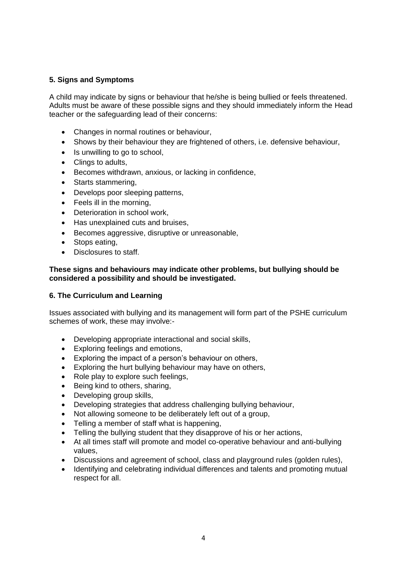## **5. Signs and Symptoms**

A child may indicate by signs or behaviour that he/she is being bullied or feels threatened. Adults must be aware of these possible signs and they should immediately inform the Head teacher or the safeguarding lead of their concerns:

- Changes in normal routines or behaviour,
- Shows by their behaviour they are frightened of others, i.e. defensive behaviour,
- Is unwilling to go to school,
- Clings to adults.
- Becomes withdrawn, anxious, or lacking in confidence,
- Starts stammering,
- Develops poor sleeping patterns,
- Feels ill in the morning,
- Deterioration in school work,
- Has unexplained cuts and bruises,
- Becomes aggressive, disruptive or unreasonable,
- Stops eating,
- Disclosures to staff.

### **These signs and behaviours may indicate other problems, but bullying should be considered a possibility and should be investigated.**

### **6. The Curriculum and Learning**

Issues associated with bullying and its management will form part of the PSHE curriculum schemes of work, these may involve:-

- Developing appropriate interactional and social skills,
- Exploring feelings and emotions,
- Exploring the impact of a person's behaviour on others,
- Exploring the hurt bullying behaviour may have on others,
- Role play to explore such feelings,
- Being kind to others, sharing,
- Developing group skills,
- Developing strategies that address challenging bullying behaviour,
- Not allowing someone to be deliberately left out of a group,
- Telling a member of staff what is happening.
- Telling the bullying student that they disapprove of his or her actions,
- At all times staff will promote and model co-operative behaviour and anti-bullying values,
- Discussions and agreement of school, class and playground rules (golden rules),
- Identifying and celebrating individual differences and talents and promoting mutual respect for all.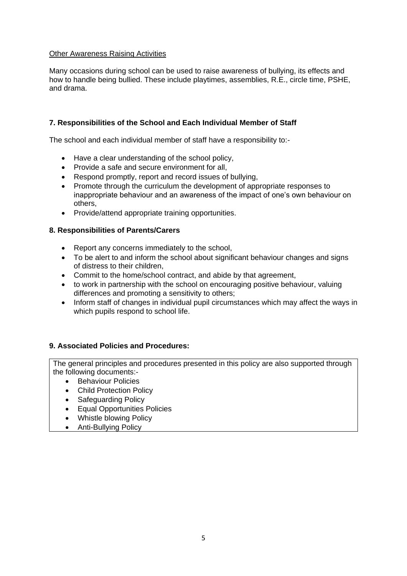## Other Awareness Raising Activities

Many occasions during school can be used to raise awareness of bullying, its effects and how to handle being bullied. These include playtimes, assemblies, R.E., circle time, PSHE, and drama.

# **7. Responsibilities of the School and Each Individual Member of Staff**

The school and each individual member of staff have a responsibility to:-

- Have a clear understanding of the school policy,
- Provide a safe and secure environment for all,
- Respond promptly, report and record issues of bullying,
- Promote through the curriculum the development of appropriate responses to inappropriate behaviour and an awareness of the impact of one's own behaviour on others,
- Provide/attend appropriate training opportunities.

## **8. Responsibilities of Parents/Carers**

- Report any concerns immediately to the school,
- To be alert to and inform the school about significant behaviour changes and signs of distress to their children,
- Commit to the home/school contract, and abide by that agreement,
- to work in partnership with the school on encouraging positive behaviour, valuing differences and promoting a sensitivity to others;
- Inform staff of changes in individual pupil circumstances which may affect the ways in which pupils respond to school life.

### **9. Associated Policies and Procedures:**

The general principles and procedures presented in this policy are also supported through the following documents:-

- Behaviour Policies
- Child Protection Policy
- Safeguarding Policy
- Equal Opportunities Policies
- Whistle blowing Policy
- Anti-Bullying Policy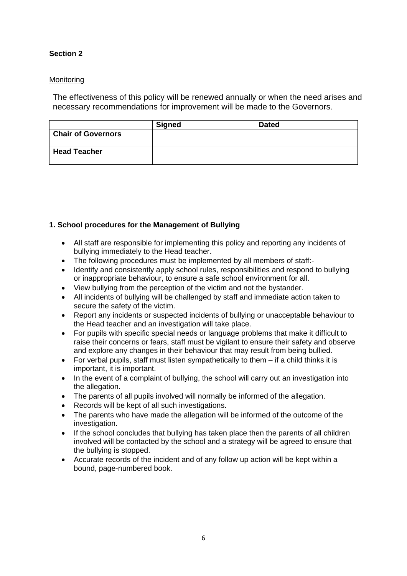# **Section 2**

## **Monitoring**

The effectiveness of this policy will be renewed annually or when the need arises and necessary recommendations for improvement will be made to the Governors.

|                           | <b>Signed</b> | <b>Dated</b> |
|---------------------------|---------------|--------------|
| <b>Chair of Governors</b> |               |              |
| <b>Head Teacher</b>       |               |              |

# **1. School procedures for the Management of Bullying**

- All staff are responsible for implementing this policy and reporting any incidents of bullying immediately to the Head teacher.
- The following procedures must be implemented by all members of staff:-
- Identify and consistently apply school rules, responsibilities and respond to bullying or inappropriate behaviour, to ensure a safe school environment for all.
- View bullying from the perception of the victim and not the bystander.
- All incidents of bullying will be challenged by staff and immediate action taken to secure the safety of the victim.
- Report any incidents or suspected incidents of bullying or unacceptable behaviour to the Head teacher and an investigation will take place.
- For pupils with specific special needs or language problems that make it difficult to raise their concerns or fears, staff must be vigilant to ensure their safety and observe and explore any changes in their behaviour that may result from being bullied.
- For verbal pupils, staff must listen sympathetically to them if a child thinks it is important, it is important.
- In the event of a complaint of bullying, the school will carry out an investigation into the allegation.
- The parents of all pupils involved will normally be informed of the allegation.
- Records will be kept of all such investigations.
- The parents who have made the allegation will be informed of the outcome of the investigation.
- If the school concludes that bullying has taken place then the parents of all children involved will be contacted by the school and a strategy will be agreed to ensure that the bullying is stopped.
- Accurate records of the incident and of any follow up action will be kept within a bound, page-numbered book.